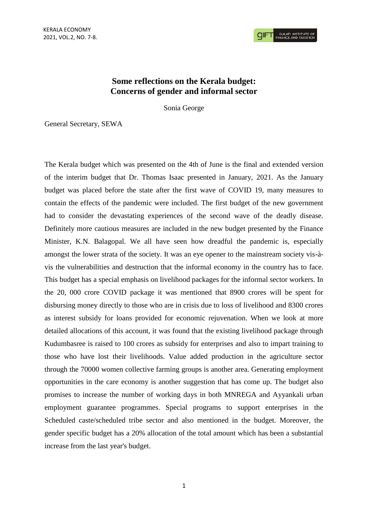**CIFT** GULATI INSTITUTE

## **Some reflections on the Kerala budget: Concerns of gender and informal sector**

Sonia George

General Secretary, SEWA

The Kerala budget which was presented on the 4th of June is the final and extended version of the interim budget that Dr. Thomas Isaac presented in January, 2021. As the January budget was placed before the state after the first wave of COVID 19, many measures to contain the effects of the pandemic were included. The first budget of the new government had to consider the devastating experiences of the second wave of the deadly disease. Definitely more cautious measures are included in the new budget presented by the Finance Minister, K.N. Balagopal. We all have seen how dreadful the pandemic is, especially amongst the lower strata of the society. It was an eye opener to the mainstream society vis-àvis the vulnerabilities and destruction that the informal economy in the country has to face. This budget has a special emphasis on livelihood packages for the informal sector workers. In the 20, 000 crore COVID package it was mentioned that 8900 crores will be spent for disbursing money directly to those who are in crisis due to loss of livelihood and 8300 crores as interest subsidy for loans provided for economic rejuvenation. When we look at more detailed allocations of this account, it was found that the existing livelihood package through Kudumbasree is raised to 100 crores as subsidy for enterprises and also to impart training to those who have lost their livelihoods. Value added production in the agriculture sector through the 70000 women collective farming groups is another area. Generating employment opportunities in the care economy is another suggestion that has come up. The budget also promises to increase the number of working days in both MNREGA and Ayyankali urban employment guarantee programmes. Special programs to support enterprises in the Scheduled caste/scheduled tribe sector and also mentioned in the budget. Moreover, the gender specific budget has a 20% allocation of the total amount which has been a substantial increase from the last year's budget.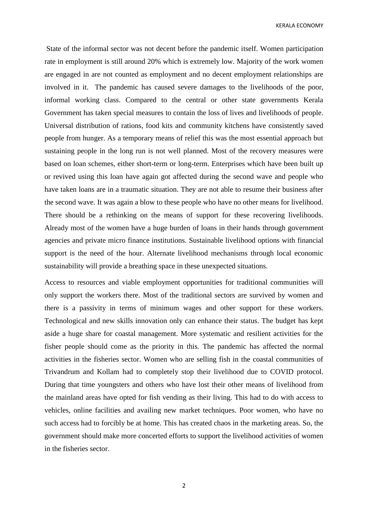KERALA ECONOMY

State of the informal sector was not decent before the pandemic itself. Women participation rate in employment is still around 20% which is extremely low. Majority of the work women are engaged in are not counted as employment and no decent employment relationships are involved in it. The pandemic has caused severe damages to the livelihoods of the poor, informal working class. Compared to the central or other state governments Kerala Government has taken special measures to contain the loss of lives and livelihoods of people. Universal distribution of rations, food kits and community kitchens have consistently saved people from hunger. As a temporary means of relief this was the most essential approach but sustaining people in the long run is not well planned. Most of the recovery measures were based on loan schemes, either short-term or long-term. Enterprises which have been built up or revived using this loan have again got affected during the second wave and people who have taken loans are in a traumatic situation. They are not able to resume their business after the second wave. It was again a blow to these people who have no other means for livelihood. There should be a rethinking on the means of support for these recovering livelihoods. Already most of the women have a huge burden of loans in their hands through government agencies and private micro finance institutions. Sustainable livelihood options with financial support is the need of the hour. Alternate livelihood mechanisms through local economic sustainability will provide a breathing space in these unexpected situations.

Access to resources and viable employment opportunities for traditional communities will only support the workers there. Most of the traditional sectors are survived by women and there is a passivity in terms of minimum wages and other support for these workers. Technological and new skills innovation only can enhance their status. The budget has kept aside a huge share for coastal management. More systematic and resilient activities for the fisher people should come as the priority in this. The pandemic has affected the normal activities in the fisheries sector. Women who are selling fish in the coastal communities of Trivandrum and Kollam had to completely stop their livelihood due to COVID protocol. During that time youngsters and others who have lost their other means of livelihood from the mainland areas have opted for fish vending as their living. This had to do with access to vehicles, online facilities and availing new market techniques. Poor women, who have no such access had to forcibly be at home. This has created chaos in the marketing areas. So, the government should make more concerted efforts to support the livelihood activities of women in the fisheries sector.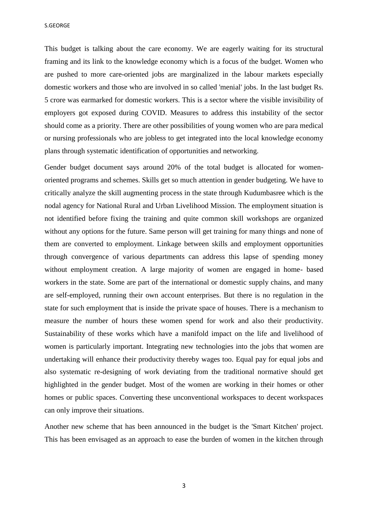S.GEORGE

This budget is talking about the care economy. We are eagerly waiting for its structural framing and its link to the knowledge economy which is a focus of the budget. Women who are pushed to more care-oriented jobs are marginalized in the labour markets especially domestic workers and those who are involved in so called 'menial' jobs. In the last budget Rs. 5 crore was earmarked for domestic workers. This is a sector where the visible invisibility of employers got exposed during COVID. Measures to address this instability of the sector should come as a priority. There are other possibilities of young women who are para medical or nursing professionals who are jobless to get integrated into the local knowledge economy plans through systematic identification of opportunities and networking.

Gender budget document says around 20% of the total budget is allocated for womenoriented programs and schemes. Skills get so much attention in gender budgeting. We have to critically analyze the skill augmenting process in the state through Kudumbasree which is the nodal agency for National Rural and Urban Livelihood Mission. The employment situation is not identified before fixing the training and quite common skill workshops are organized without any options for the future. Same person will get training for many things and none of them are converted to employment. Linkage between skills and employment opportunities through convergence of various departments can address this lapse of spending money without employment creation. A large majority of women are engaged in home- based workers in the state. Some are part of the international or domestic supply chains, and many are self-employed, running their own account enterprises. But there is no regulation in the state for such employment that is inside the private space of houses. There is a mechanism to measure the number of hours these women spend for work and also their productivity. Sustainability of these works which have a manifold impact on the life and livelihood of women is particularly important. Integrating new technologies into the jobs that women are undertaking will enhance their productivity thereby wages too. Equal pay for equal jobs and also systematic re-designing of work deviating from the traditional normative should get highlighted in the gender budget. Most of the women are working in their homes or other homes or public spaces. Converting these unconventional workspaces to decent workspaces can only improve their situations.

Another new scheme that has been announced in the budget is the 'Smart Kitchen' project. This has been envisaged as an approach to ease the burden of women in the kitchen through